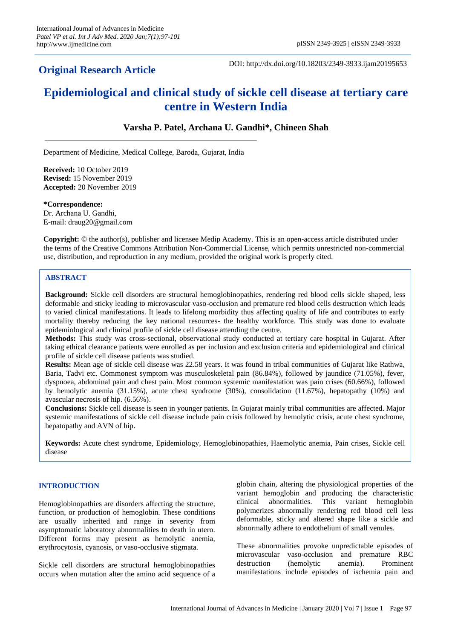## **Original Research Article**

DOI: http://dx.doi.org/10.18203/2349-3933.ijam20195653

# **Epidemiological and clinical study of sickle cell disease at tertiary care centre in Western India**

## **Varsha P. Patel, Archana U. Gandhi\*, Chineen Shah**

Department of Medicine, Medical College, Baroda, Gujarat, India

**Received:** 10 October 2019 **Revised:** 15 November 2019 **Accepted:** 20 November 2019

**\*Correspondence:** Dr. Archana U. Gandhi, E-mail: [draug20@gmail.com](mailto:draug20@gmail.com)

**Copyright:** © the author(s), publisher and licensee Medip Academy. This is an open-access article distributed under the terms of the Creative Commons Attribution Non-Commercial License, which permits unrestricted non-commercial use, distribution, and reproduction in any medium, provided the original work is properly cited.

## **ABSTRACT**

**Background:** Sickle cell disorders are structural hemoglobinopathies, rendering red blood cells sickle shaped, less deformable and sticky leading to microvascular vaso-occlusion and premature red blood cells destruction which leads to varied clinical manifestations. It leads to lifelong morbidity thus affecting quality of life and contributes to early mortality thereby reducing the key national resources- the healthy workforce. This study was done to evaluate epidemiological and clinical profile of sickle cell disease attending the centre.

**Methods:** This study was cross-sectional, observational study conducted at tertiary care hospital in Gujarat. After taking ethical clearance patients were enrolled as per inclusion and exclusion criteria and epidemiological and clinical profile of sickle cell disease patients was studied.

**Results:** Mean age of sickle cell disease was 22.58 years. It was found in tribal communities of Gujarat like Rathwa, Baria, Tadvi etc. Commonest symptom was musculoskeletal pain (86.84%), followed by jaundice (71.05%), fever, dyspnoea, abdominal pain and chest pain. Most common systemic manifestation was pain crises (60.66%), followed by hemolytic anemia (31.15%), acute chest syndrome (30%), consolidation (11.67%), hepatopathy (10%) and avascular necrosis of hip. (6.56%).

**Conclusions:** Sickle cell disease is seen in younger patients. In Gujarat mainly tribal communities are affected. Major systemic manifestations of sickle cell disease include pain crisis followed by hemolytic crisis, acute chest syndrome, hepatopathy and AVN of hip.

**Keywords:** Acute chest syndrome, Epidemiology, Hemoglobinopathies, Haemolytic anemia, Pain crises, Sickle cell disease

## **INTRODUCTION**

Hemoglobinopathies are disorders affecting the structure, function, or production of hemoglobin. These conditions are usually inherited and range in severity from asymptomatic laboratory abnormalities to death in utero. Different forms may present as hemolytic anemia, erythrocytosis, cyanosis, or vaso-occlusive stigmata.

Sickle cell disorders are structural hemoglobinopathies occurs when mutation alter the amino acid sequence of a globin chain, altering the physiological properties of the variant hemoglobin and producing the characteristic clinical abnormalities. This variant hemoglobin polymerizes abnormally rendering red blood cell less deformable, sticky and altered shape like a sickle and abnormally adhere to endothelium of small venules.

These abnormalities provoke unpredictable episodes of microvascular vaso-occlusion and premature RBC destruction (hemolytic anemia). Prominent manifestations include episodes of ischemia pain and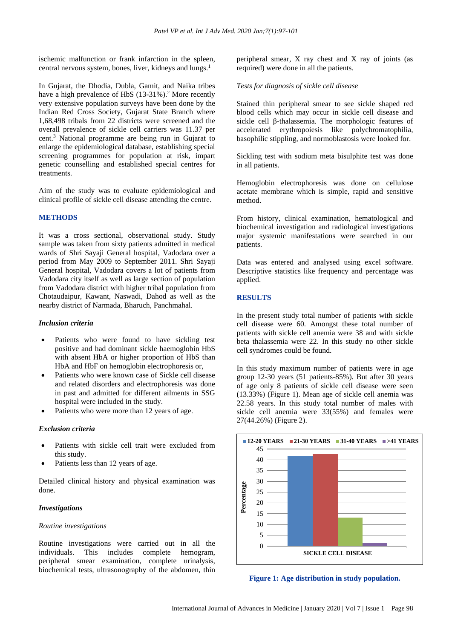ischemic malfunction or frank infarction in the spleen, central nervous system, bones, liver, kidneys and lungs.<sup>1</sup>

In Gujarat, the Dhodia, Dubla, Gamit, and Naika tribes have a high prevalence of HbS (13-31%).<sup>2</sup> More recently very extensive population surveys have been done by the Indian Red Cross Society, Gujarat State Branch where 1,68,498 tribals from 22 districts were screened and the overall prevalence of sickle cell carriers was 11.37 per cent.<sup>3</sup> National programme are being run in Gujarat to enlarge the epidemiological database, establishing special screening programmes for population at risk, impart genetic counselling and established special centres for treatments.

Aim of the study was to evaluate epidemiological and clinical profile of sickle cell disease attending the centre.

## **METHODS**

It was a cross sectional, observational study. Study sample was taken from sixty patients admitted in medical wards of Shri Sayaji General hospital, Vadodara over a period from May 2009 to September 2011. Shri Sayaji General hospital, Vadodara covers a lot of patients from Vadodara city itself as well as large section of population from Vadodara district with higher tribal population from Chotaudaipur, Kawant, Naswadi, Dahod as well as the nearby district of Narmada, Bharuch, Panchmahal.

#### *Inclusion criteria*

- Patients who were found to have sickling test positive and had dominant sickle haemoglobin HbS with absent HbA or higher proportion of HbS than HbA and HbF on hemoglobin electrophoresis or,
- Patients who were known case of Sickle cell disease and related disorders and electrophoresis was done in past and admitted for different ailments in SSG hospital were included in the study.
- Patients who were more than 12 years of age.

## *Exclusion criteria*

- Patients with sickle cell trait were excluded from this study.
- Patients less than 12 years of age.

Detailed clinical history and physical examination was done.

#### *Investigations*

#### *Routine investigations*

Routine investigations were carried out in all the individuals. This includes complete hemogram, peripheral smear examination, complete urinalysis, biochemical tests, ultrasonography of the abdomen, thin peripheral smear, X ray chest and X ray of joints (as required) were done in all the patients.

#### *Tests for diagnosis of sickle cell disease*

Stained thin peripheral smear to see sickle shaped red blood cells which may occur in sickle cell disease and sickle cell β-thalassemia. The morphologic features of accelerated erythropoiesis like polychromatophilia, basophilic stippling, and normoblastosis were looked for.

Sickling test with sodium meta bisulphite test was done in all patients.

Hemoglobin electrophoresis was done on cellulose acetate membrane which is simple, rapid and sensitive method.

From history, clinical examination, hematological and biochemical investigation and radiological investigations major systemic manifestations were searched in our patients.

Data was entered and analysed using excel software. Descriptive statistics like frequency and percentage was applied.

#### **RESULTS**

In the present study total number of patients with sickle cell disease were 60. Amongst these total number of patients with sickle cell anemia were 38 and with sickle beta thalassemia were 22. In this study no other sickle cell syndromes could be found.

In this study maximum number of patients were in age group 12-30 years (51 patients-85%). But after 30 years of age only 8 patients of sickle cell disease were seen (13.33%) (Figure 1). Mean age of sickle cell anemia was 22.58 years. In this study total number of males with sickle cell anemia were 33(55%) and females were 27(44.26%) (Figure 2).



**Figure 1: Age distribution in study population.**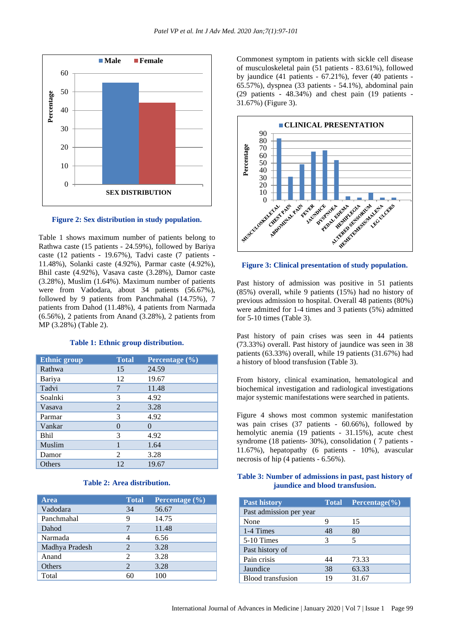

## **Figure 2: Sex distribution in study population.**

Table 1 shows maximum number of patients belong to Rathwa caste (15 patients - 24.59%), followed by Bariya caste (12 patients - 19.67%), Tadvi caste (7 patients - 11.48%), Solanki caste (4.92%), Parmar caste (4.92%), Bhil caste (4.92%), Vasava caste (3.28%), Damor caste (3.28%), Muslim (1.64%). Maximum number of patients were from Vadodara, about 34 patients (56.67%), followed by 9 patients from Panchmahal (14.75%), 7 patients from Dahod (11.48%), 4 patients from Narmada (6.56%), 2 patients from Anand (3.28%), 2 patients from MP (3.28%) (Table 2).

#### **Table 1: Ethnic group distribution.**

| <b>Ethnic group</b> | <b>Total</b> | Percentage (%) |
|---------------------|--------------|----------------|
| Rathwa              | 15           | 24.59          |
| Bariya              | 12           | 19.67          |
| Tadvi               |              | 11.48          |
| Soalnki             | 3            | 4.92           |
| Vasava              | 2            | 3.28           |
| Parmar              | 3            | 4.92           |
| Vankar              | 0            | $\Omega$       |
| <b>Bhil</b>         | 3            | 4.92           |
| Muslim              |              | 1.64           |
| Damor               | 2            | 3.28           |
| Others              | 12           | 19.67          |

#### **Table 2: Area distribution.**

| <b>Area</b>    | <b>Total</b>                | Percentage $(\%)$ |
|----------------|-----------------------------|-------------------|
| Vadodara       | 34                          | 56.67             |
| Panchmahal     | q                           | 14.75             |
| Dahod          |                             | 11.48             |
| Narmada        |                             | 6.56              |
| Madhya Pradesh | $\mathcal{D}_{\cdot}$       | 3.28              |
| Anand          | $\mathfrak{D}$              | 3.28              |
| Others         | $\mathcal{D}_{\mathcal{A}}$ | 3.28              |
| Total          | 60                          | 100               |

Commonest symptom in patients with sickle cell disease of musculoskeletal pain (51 patients - 83.61%), followed by jaundice (41 patients - 67.21%), fever (40 patients - 65.57%), dyspnea (33 patients - 54.1%), abdominal pain (29 patients - 48.34%) and chest pain (19 patients - 31.67%) (Figure 3).



#### **Figure 3: Clinical presentation of study population.**

Past history of admission was positive in 51 patients (85%) overall, while 9 patients (15%) had no history of previous admission to hospital. Overall 48 patients (80%) were admitted for 1-4 times and 3 patients (5%) admitted for 5-10 times (Table 3).

Past history of pain crises was seen in 44 patients (73.33%) overall. Past history of jaundice was seen in 38 patients (63.33%) overall, while 19 patients (31.67%) had a history of blood transfusion (Table 3).

From history, clinical examination, hematological and biochemical investigation and radiological investigations major systemic manifestations were searched in patients.

Figure 4 shows most common systemic manifestation was pain crises (37 patients - 60.66%), followed by hemolytic anemia (19 patients - 31.15%), acute chest syndrome (18 patients- 30%), consolidation ( 7 patients - 11.67%), hepatopathy (6 patients - 10%), avascular necrosis of hip (4 patients - 6.56%).

## **Table 3: Number of admissions in past, past history of jaundice and blood transfusion.**

| <b>Past history</b>     | <b>Total</b> | Percentage $(\% )$ |
|-------------------------|--------------|--------------------|
| Past admission per year |              |                    |
| None                    |              | 15                 |
| 1-4 Times               | 48           | 80                 |
| 5-10 Times              | 3            | 5                  |
| Past history of         |              |                    |
| Pain crisis             | 44           | 73.33              |
| Jaundice                | 38           | 63.33              |
| Blood transfusion       | 19           | 31.67              |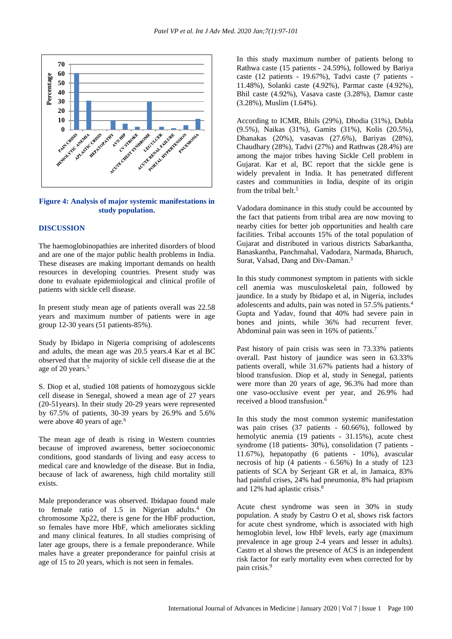

**Figure 4: Analysis of major systemic manifestations in study population.**

## **DISCUSSION**

The haemoglobinopathies are inherited disorders of blood and are one of the major public health problems in India. These diseases are making important demands on health resources in developing countries. Present study was done to evaluate epidemiological and clinical profile of patients with sickle cell disease.

In present study mean age of patients overall was 22.58 years and maximum number of patients were in age group 12-30 years (51 patients-85%).

Study by Ibidapo in Nigeria comprising of adolescents and adults, the mean age was 20.5 years.4 Kar et al BC observed that the majority of sickle cell disease die at the age of 20 years.<sup>5</sup>

S. Diop et al, studied 108 patients of homozygous sickle cell disease in Senegal, showed a mean age of 27 years (20-51years). In their study 20-29 years were represented by 67.5% of patients, 30-39 years by 26.9% and 5.6% were above 40 years of age.<sup>6</sup>

The mean age of death is rising in Western countries because of improved awareness, better socioeconomic conditions, good standards of living and easy access to medical care and knowledge of the disease. But in India, because of lack of awareness, high child mortality still exists.

Male preponderance was observed. Ibidapao found male to female ratio of 1.5 in Nigerian adults.<sup>4</sup> On chromosome Xp22, there is gene for the HbF production, so females have more HbF, which ameliorates sickling and many clinical features. In all studies comprising of later age groups, there is a female preponderance. While males have a greater preponderance for painful crisis at age of 15 to 20 years, which is not seen in females.

In this study maximum number of patients belong to Rathwa caste (15 patients - 24.59%), followed by Bariya caste (12 patients - 19.67%), Tadvi caste (7 patients - 11.48%), Solanki caste (4.92%), Parmar caste (4.92%), Bhil caste (4.92%), Vasava caste (3.28%), Damor caste (3.28%), Muslim (1.64%).

According to ICMR, Bhils (29%), Dhodia (31%), Dubla (9.5%), Naikas (31%), Gamits (31%), Kolis (20.5%), Dhanakas (20%), vasavas (27.6%), Bariyas (28%), Chaudhary (28%), Tadvi (27%) and Rathwas (28.4%) are among the major tribes having Sickle Cell problem in Gujarat. Kar et al, BC report that the sickle gene is widely prevalent in India. It has penetrated different castes and communities in India, despite of its origin from the tribal belt.<sup>5</sup>

Vadodara dominance in this study could be accounted by the fact that patients from tribal area are now moving to nearby cities for better job opportunities and health care facilities. Tribal accounts 15% of the total population of Gujarat and distributed in various districts Sabarkantha, Banaskantha, Panchmahal, Vadodara, Narmada, Bharuch, Surat, Valsad, Dang and Div-Daman.<sup>3</sup>

In this study commonest symptom in patients with sickle cell anemia was musculoskeletal pain, followed by jaundice. In a study by Ibidapo et al, in Nigeria, includes adolescents and adults, pain was noted in 57.5% patients.<sup>4</sup> Gupta and Yadav, found that 40% had severe pain in bones and joints, while 36% had recurrent fever. Abdominal pain was seen in 16% of patients.<sup>7</sup>

Past history of pain crisis was seen in 73.33% patients overall. Past history of jaundice was seen in 63.33% patients overall, while 31.67% patients had a history of blood transfusion. Diop et al, study in Senegal, patients were more than 20 years of age, 96.3% had more than one vaso-occlusive event per year, and 26.9% had received a blood transfusion.<sup>6</sup>

In this study the most common systemic manifestation was pain crises (37 patients - 60.66%), followed by hemolytic anemia (19 patients - 31.15%), acute chest syndrome (18 patients- 30%), consolidation (7 patients - 11.67%), hepatopathy (6 patients - 10%), avascular necrosis of hip (4 patients - 6.56%) In a study of 123 patients of SCA by Serjeant GR et al, in Jamaica, 83% had painful crises, 24% had pneumonia, 8% had priapism and 12% had aplastic crisis.<sup>8</sup>

Acute chest syndrome was seen in 30% in study population. A study by Castro O et al, shows risk factors for acute chest syndrome, which is associated with high hemoglobin level, low HbF levels, early age (maximum prevalence in age group 2-4 years and lesser in adults). Castro et al shows the presence of ACS is an independent risk factor for early mortality even when corrected for by pain crisis.<sup>9</sup>